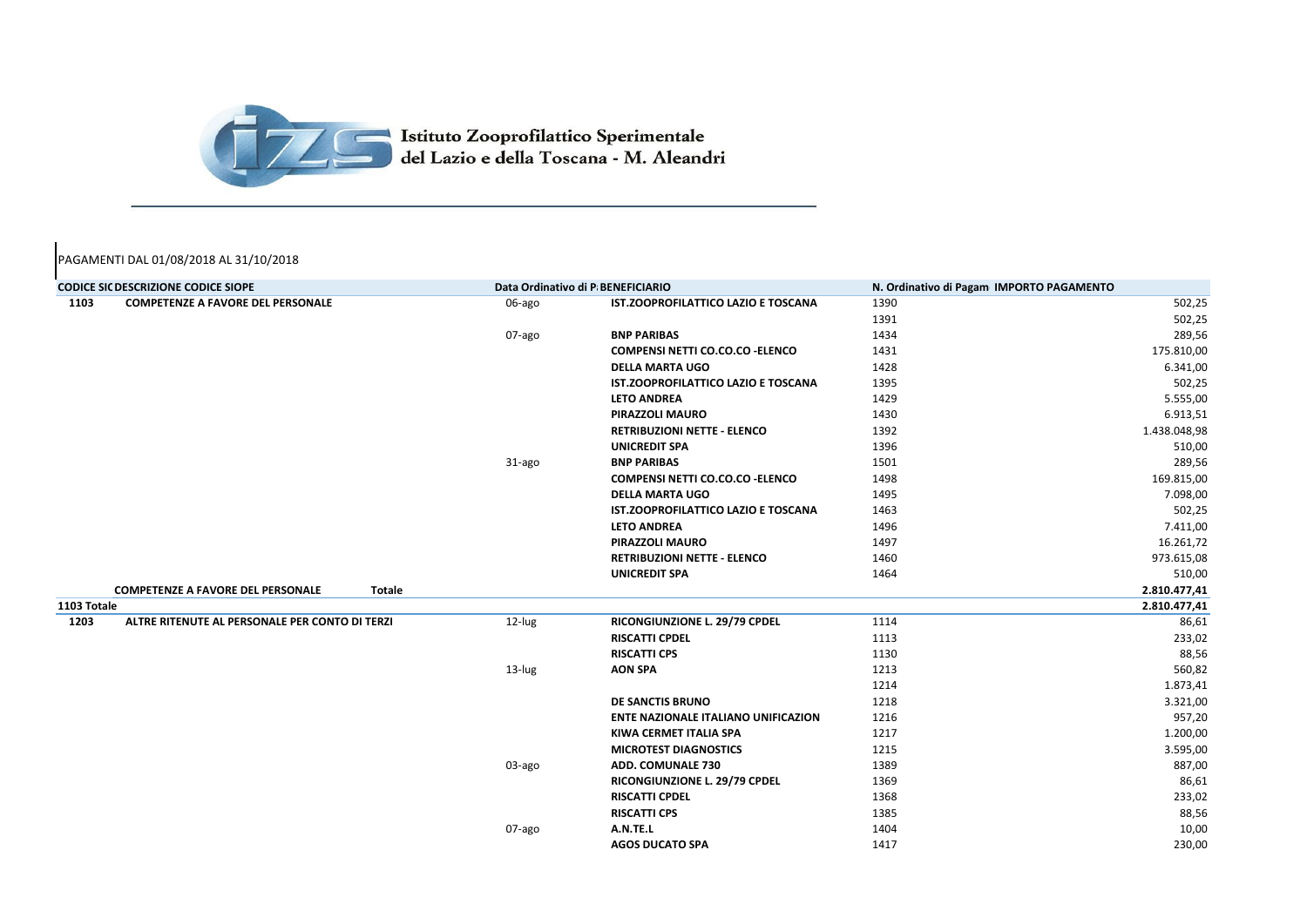| <b>CODICE SIC DESCRIZIONE CODICE SIOPE</b> |                                                           |        | Data Ordinativo di P BENEFICIARIO          | N. Ordinativo di Pagam IMPORTO PAGAMENTO |              |
|--------------------------------------------|-----------------------------------------------------------|--------|--------------------------------------------|------------------------------------------|--------------|
| 1103                                       | <b>COMPETENZE A FAVORE DEL PERSONALE</b>                  | 06-ago | <b>IST.ZOOPROFILATTICO LAZIO E TOSCANA</b> | 1390                                     | 502,25       |
|                                            |                                                           |        |                                            | 1391                                     | 502,25       |
|                                            |                                                           | 07-ago | <b>BNP PARIBAS</b>                         | 1434                                     | 289,56       |
|                                            |                                                           |        | <b>COMPENSI NETTI CO.CO.CO - ELENCO</b>    | 1431                                     | 175.810,00   |
|                                            |                                                           |        | <b>DELLA MARTA UGO</b>                     | 1428                                     | 6.341,00     |
|                                            |                                                           |        | <b>IST.ZOOPROFILATTICO LAZIO E TOSCANA</b> | 1395                                     | 502,25       |
|                                            |                                                           |        | <b>LETO ANDREA</b>                         | 1429                                     | 5.555,00     |
|                                            |                                                           |        | <b>PIRAZZOLI MAURO</b>                     | 1430                                     | 6.913,51     |
|                                            |                                                           |        | <b>RETRIBUZIONI NETTE - ELENCO</b>         | 1392                                     | 1.438.048,98 |
|                                            |                                                           |        | <b>UNICREDIT SPA</b>                       | 1396                                     | 510,00       |
|                                            |                                                           | 31-ago | <b>BNP PARIBAS</b>                         | 1501                                     | 289,56       |
|                                            |                                                           |        | <b>COMPENSI NETTI CO.CO.CO - ELENCO</b>    | 1498                                     | 169.815,00   |
|                                            |                                                           |        | <b>DELLA MARTA UGO</b>                     | 1495                                     | 7.098,00     |
|                                            |                                                           |        | <b>IST.ZOOPROFILATTICO LAZIO E TOSCANA</b> | 1463                                     | 502,25       |
|                                            |                                                           |        | <b>LETO ANDREA</b>                         | 1496                                     | 7.411,00     |
|                                            |                                                           |        | <b>PIRAZZOLI MAURO</b>                     | 1497                                     | 16.261,72    |
|                                            |                                                           |        | <b>RETRIBUZIONI NETTE - ELENCO</b>         | 1460                                     | 973.615,08   |
|                                            |                                                           |        | <b>UNICREDIT SPA</b>                       | 1464                                     | 510,00       |
|                                            | <b>COMPETENZE A FAVORE DEL PERSONALE</b><br><b>Totale</b> |        |                                            |                                          | 2.810.477,41 |
| 1103 Totale                                |                                                           |        |                                            |                                          | 2.810.477,41 |
| 1203                                       | ALTRE RITENUTE AL PERSONALE PER CONTO DI TERZI            | 12-lug | RICONGIUNZIONE L. 29/79 CPDEL              | 1114                                     | 86,61        |
|                                            |                                                           |        | <b>RISCATTI CPDEL</b>                      | 1113                                     | 233,02       |
|                                            |                                                           |        | <b>RISCATTI CPS</b>                        | 1130                                     | 88,56        |
|                                            |                                                           | 13-lug | <b>AON SPA</b>                             | 1213                                     | 560,82       |
|                                            |                                                           |        |                                            | 1214                                     | 1.873,41     |
|                                            |                                                           |        | <b>DE SANCTIS BRUNO</b>                    | 1218                                     | 3.321,00     |
|                                            |                                                           |        | <b>ENTE NAZIONALE ITALIANO UNIFICAZION</b> | 1216                                     | 957,20       |
|                                            |                                                           |        | <b>KIWA CERMET ITALIA SPA</b>              | 1217                                     | 1.200,00     |
|                                            |                                                           |        | <b>MICROTEST DIAGNOSTICS</b>               | 1215                                     | 3.595,00     |
|                                            |                                                           | 03-ago | <b>ADD. COMUNALE 730</b>                   | 1389                                     | 887,00       |
|                                            |                                                           |        | RICONGIUNZIONE L. 29/79 CPDEL              | 1369                                     | 86,61        |
|                                            |                                                           |        | <b>RISCATTI CPDEL</b>                      | 1368                                     | 233,02       |
|                                            |                                                           |        | <b>RISCATTI CPS</b>                        | 1385                                     | 88,56        |
|                                            |                                                           | 07-ago | A.N.TE.L                                   | 1404                                     | 10,00        |
|                                            |                                                           |        | <b>AGOS DUCATO SPA</b>                     | 1417                                     | 230,00       |

## **CODICE SIGDEDS E DATA DEL PAGAMENTO**



## PAGAMENTI DAL 01/08/2018 AL 31/10/2018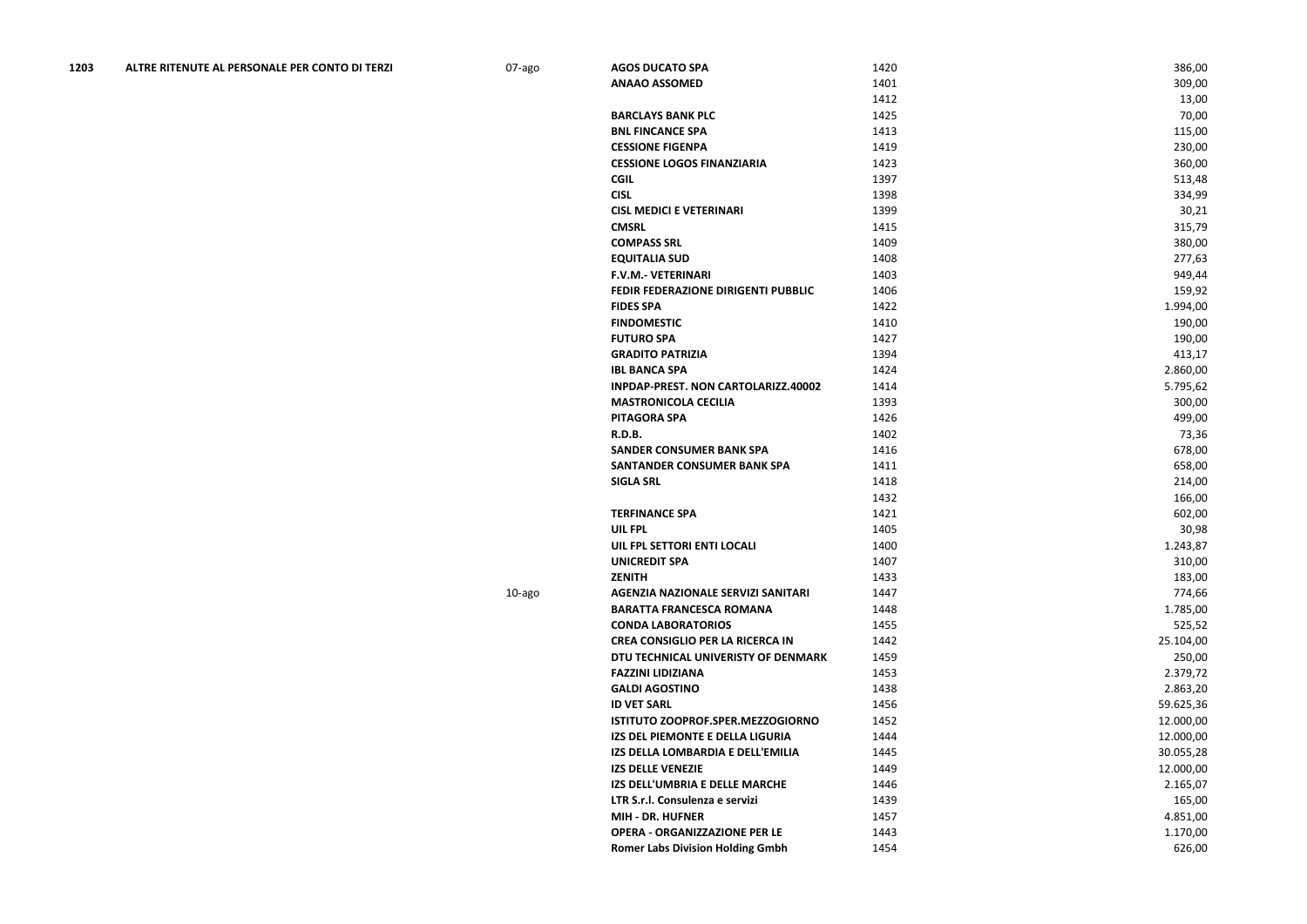| 1203 | ALTRE RITENUTE AL PERSONALE PER CONTO DI TERZI | 07-ago | <b>AGOS DUCATO SPA</b>                  | 1420 | 386,00    |
|------|------------------------------------------------|--------|-----------------------------------------|------|-----------|
|      |                                                |        | <b>ANAAO ASSOMED</b>                    | 1401 | 309,00    |
|      |                                                |        |                                         | 1412 | 13,00     |
|      |                                                |        | <b>BARCLAYS BANK PLC</b>                | 1425 | 70,00     |
|      |                                                |        | <b>BNL FINCANCE SPA</b>                 | 1413 | 115,00    |
|      |                                                |        | <b>CESSIONE FIGENPA</b>                 | 1419 | 230,00    |
|      |                                                |        | <b>CESSIONE LOGOS FINANZIARIA</b>       | 1423 | 360,00    |
|      |                                                |        | <b>CGIL</b>                             | 1397 | 513,48    |
|      |                                                |        | <b>CISL</b>                             | 1398 | 334,99    |
|      |                                                |        | <b>CISL MEDICI E VETERINARI</b>         | 1399 | 30,21     |
|      |                                                |        | <b>CMSRL</b>                            | 1415 | 315,79    |
|      |                                                |        | <b>COMPASS SRL</b>                      | 1409 | 380,00    |
|      |                                                |        | <b>EQUITALIA SUD</b>                    | 1408 | 277,63    |
|      |                                                |        | <b>F.V.M.- VETERINARI</b>               | 1403 | 949,44    |
|      |                                                |        | FEDIR FEDERAZIONE DIRIGENTI PUBBLIC     | 1406 | 159,92    |
|      |                                                |        | <b>FIDES SPA</b>                        | 1422 | 1.994,00  |
|      |                                                |        | <b>FINDOMESTIC</b>                      | 1410 | 190,00    |
|      |                                                |        | <b>FUTURO SPA</b>                       | 1427 | 190,00    |
|      |                                                |        | <b>GRADITO PATRIZIA</b>                 | 1394 | 413,17    |
|      |                                                |        | <b>IBL BANCA SPA</b>                    | 1424 | 2.860,00  |
|      |                                                |        | INPDAP-PREST. NON CARTOLARIZZ.40002     | 1414 | 5.795,62  |
|      |                                                |        | <b>MASTRONICOLA CECILIA</b>             | 1393 | 300,00    |
|      |                                                |        | <b>PITAGORA SPA</b>                     | 1426 | 499,00    |
|      |                                                |        | <b>R.D.B.</b>                           | 1402 | 73,36     |
|      |                                                |        | <b>SANDER CONSUMER BANK SPA</b>         | 1416 | 678,00    |
|      |                                                |        | SANTANDER CONSUMER BANK SPA             | 1411 | 658,00    |
|      |                                                |        | <b>SIGLA SRL</b>                        | 1418 | 214,00    |
|      |                                                |        |                                         | 1432 | 166,00    |
|      |                                                |        | <b>TERFINANCE SPA</b>                   | 1421 | 602,00    |
|      |                                                |        | UIL FPL                                 | 1405 | 30,98     |
|      |                                                |        | UIL FPL SETTORI ENTI LOCALI             | 1400 | 1.243,87  |
|      |                                                |        | <b>UNICREDIT SPA</b>                    | 1407 | 310,00    |
|      |                                                |        | <b>ZENITH</b>                           | 1433 | 183,00    |
|      |                                                | 10-ago | AGENZIA NAZIONALE SERVIZI SANITARI      | 1447 | 774,66    |
|      |                                                |        | <b>BARATTA FRANCESCA ROMANA</b>         | 1448 | 1.785,00  |
|      |                                                |        | <b>CONDA LABORATORIOS</b>               | 1455 | 525,52    |
|      |                                                |        | <b>CREA CONSIGLIO PER LA RICERCA IN</b> | 1442 | 25.104,00 |
|      |                                                |        | DTU TECHNICAL UNIVERISTY OF DENMARK     | 1459 | 250,00    |
|      |                                                |        | <b>FAZZINI LIDIZIANA</b>                | 1453 | 2.379,72  |
|      |                                                |        | <b>GALDI AGOSTINO</b>                   | 1438 | 2.863,20  |
|      |                                                |        | <b>ID VET SARL</b>                      | 1456 | 59.625,36 |
|      |                                                |        | ISTITUTO ZOOPROF.SPER.MEZZOGIORNO       | 1452 | 12.000,00 |
|      |                                                |        | IZS DEL PIEMONTE E DELLA LIGURIA        | 1444 | 12.000,00 |
|      |                                                |        | IZS DELLA LOMBARDIA E DELL'EMILIA       | 1445 | 30.055,28 |
|      |                                                |        | <b>IZS DELLE VENEZIE</b>                | 1449 | 12.000,00 |
|      |                                                |        | IZS DELL'UMBRIA E DELLE MARCHE          | 1446 | 2.165,07  |
|      |                                                |        | LTR S.r.l. Consulenza e servizi         | 1439 | 165,00    |
|      |                                                |        | <b>MIH - DR. HUFNER</b>                 | 1457 | 4.851,00  |
|      |                                                |        | <b>OPERA - ORGANIZZAZIONE PER LE</b>    | 1443 | 1.170,00  |
|      |                                                |        | <b>Romer Labs Division Holding Gmbh</b> | 1454 | 626,00    |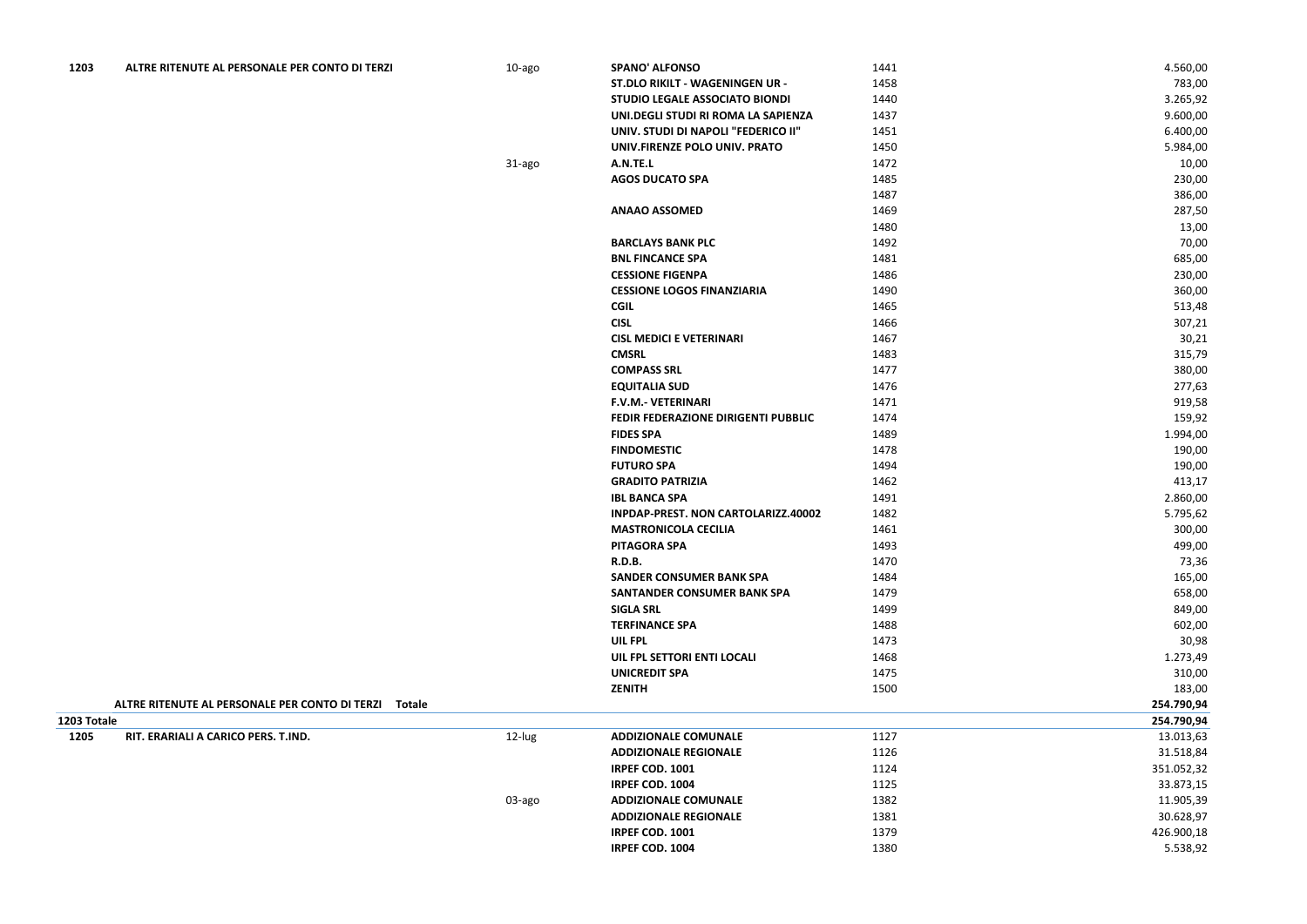| 1203        | ALTRE RITENUTE AL PERSONALE PER CONTO DI TERZI        | 10-ago | <b>SPANO' ALFONSO</b>                 | 1441 | 4.560,00   |
|-------------|-------------------------------------------------------|--------|---------------------------------------|------|------------|
|             |                                                       |        | ST.DLO RIKILT - WAGENINGEN UR -       | 1458 | 783,00     |
|             |                                                       |        | <b>STUDIO LEGALE ASSOCIATO BIONDI</b> | 1440 | 3.265,92   |
|             |                                                       |        | UNI.DEGLI STUDI RI ROMA LA SAPIENZA   | 1437 | 9.600,00   |
|             |                                                       |        | UNIV. STUDI DI NAPOLI "FEDERICO II"   | 1451 | 6.400,00   |
|             |                                                       |        | UNIV.FIRENZE POLO UNIV. PRATO         | 1450 | 5.984,00   |
|             |                                                       | 31-ago | A.N.TE.L                              | 1472 | 10,00      |
|             |                                                       |        | <b>AGOS DUCATO SPA</b>                | 1485 | 230,00     |
|             |                                                       |        |                                       | 1487 | 386,00     |
|             |                                                       |        | <b>ANAAO ASSOMED</b>                  | 1469 | 287,50     |
|             |                                                       |        |                                       | 1480 | 13,00      |
|             |                                                       |        | <b>BARCLAYS BANK PLC</b>              | 1492 | 70,00      |
|             |                                                       |        | <b>BNL FINCANCE SPA</b>               | 1481 | 685,00     |
|             |                                                       |        | <b>CESSIONE FIGENPA</b>               | 1486 | 230,00     |
|             |                                                       |        | <b>CESSIONE LOGOS FINANZIARIA</b>     | 1490 | 360,00     |
|             |                                                       |        | <b>CGIL</b>                           | 1465 | 513,48     |
|             |                                                       |        | <b>CISL</b>                           | 1466 | 307,21     |
|             |                                                       |        | <b>CISL MEDICI E VETERINARI</b>       | 1467 | 30,21      |
|             |                                                       |        | <b>CMSRL</b>                          | 1483 | 315,79     |
|             |                                                       |        | <b>COMPASS SRL</b>                    | 1477 | 380,00     |
|             |                                                       |        | <b>EQUITALIA SUD</b>                  | 1476 | 277,63     |
|             |                                                       |        | <b>F.V.M.- VETERINARI</b>             | 1471 | 919,58     |
|             |                                                       |        | FEDIR FEDERAZIONE DIRIGENTI PUBBLIC   | 1474 | 159,92     |
|             |                                                       |        | <b>FIDES SPA</b>                      | 1489 | 1.994,00   |
|             |                                                       |        | <b>FINDOMESTIC</b>                    | 1478 | 190,00     |
|             |                                                       |        | <b>FUTURO SPA</b>                     | 1494 | 190,00     |
|             |                                                       |        | <b>GRADITO PATRIZIA</b>               | 1462 | 413,17     |
|             |                                                       |        | <b>IBL BANCA SPA</b>                  | 1491 | 2.860,00   |
|             |                                                       |        | INPDAP-PREST. NON CARTOLARIZZ.40002   | 1482 | 5.795,62   |
|             |                                                       |        | <b>MASTRONICOLA CECILIA</b>           | 1461 | 300,00     |
|             |                                                       |        | PITAGORA SPA                          | 1493 | 499,00     |
|             |                                                       |        | <b>R.D.B.</b>                         | 1470 | 73,36      |
|             |                                                       |        | <b>SANDER CONSUMER BANK SPA</b>       | 1484 | 165,00     |
|             |                                                       |        | <b>SANTANDER CONSUMER BANK SPA</b>    | 1479 | 658,00     |
|             |                                                       |        | <b>SIGLA SRL</b>                      | 1499 | 849,00     |
|             |                                                       |        | <b>TERFINANCE SPA</b>                 | 1488 | 602,00     |
|             |                                                       |        | <b>UIL FPL</b>                        | 1473 | 30,98      |
|             |                                                       |        | UIL FPL SETTORI ENTI LOCALI           | 1468 | 1.273,49   |
|             |                                                       |        | <b>UNICREDIT SPA</b>                  | 1475 | 310,00     |
|             |                                                       |        | <b>ZENITH</b>                         | 1500 | 183,00     |
|             | ALTRE RITENUTE AL PERSONALE PER CONTO DI TERZI Totale |        |                                       |      | 254.790,94 |
| 1203 Totale |                                                       |        |                                       |      | 254.790,94 |
| 1205        | RIT. ERARIALI A CARICO PERS. T.IND.                   | 12-lug | <b>ADDIZIONALE COMUNALE</b>           | 1127 | 13.013,63  |
|             |                                                       |        | <b>ADDIZIONALE REGIONALE</b>          | 1126 | 31.518,84  |
|             |                                                       |        | IRPEF COD. 1001                       | 1124 | 351.052,32 |
|             |                                                       |        | IRPEF COD. 1004                       | 1125 | 33.873,15  |
|             |                                                       | 03-ago | <b>ADDIZIONALE COMUNALE</b>           | 1382 | 11.905,39  |
|             |                                                       |        | <b>ADDIZIONALE REGIONALE</b>          | 1381 | 30.628,97  |
|             |                                                       |        | IRPEF COD. 1001                       | 1379 | 426.900,18 |
|             |                                                       |        | IRPEF COD. 1004                       | 1380 | 5.538,92   |
|             |                                                       |        |                                       |      |            |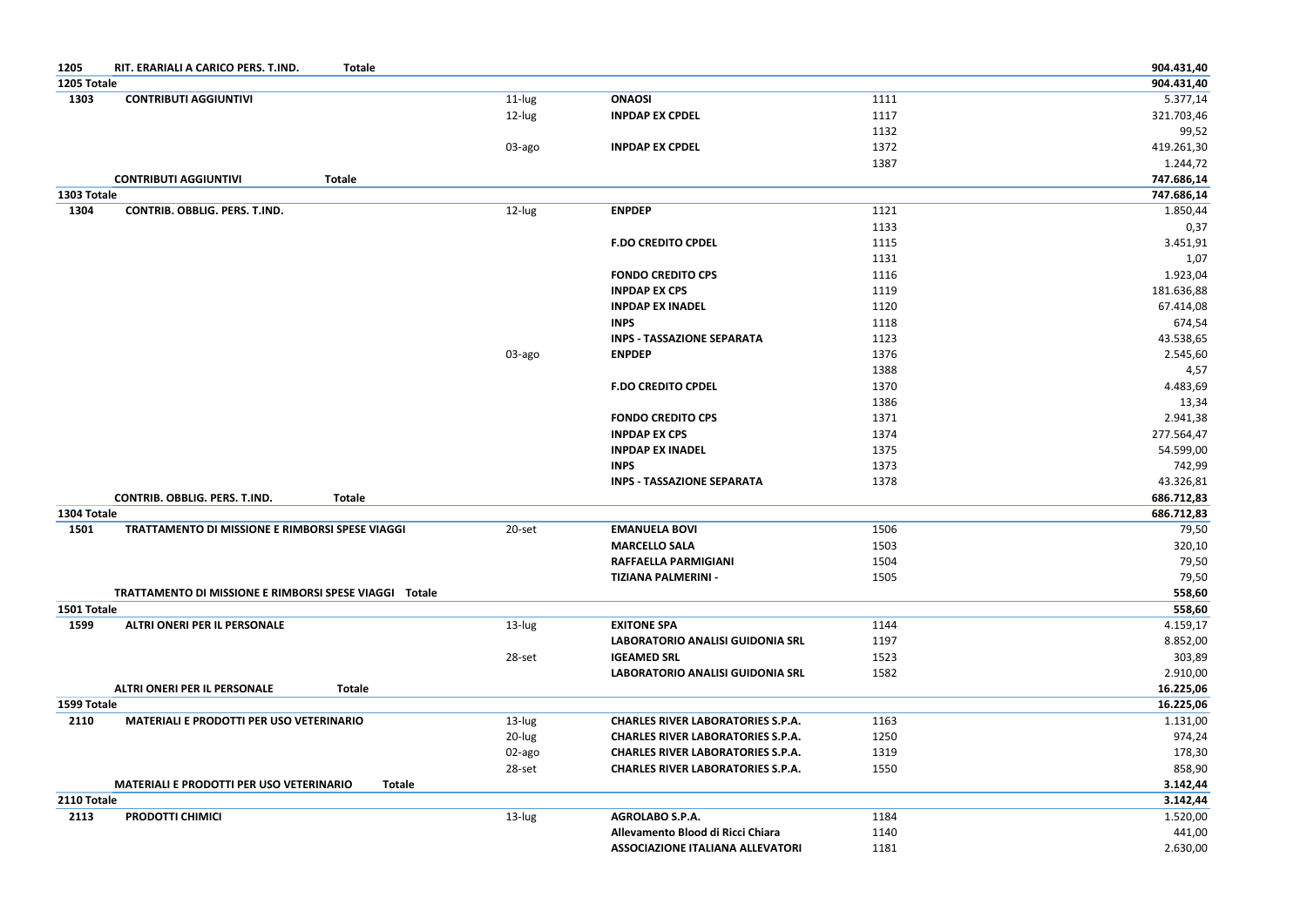| <b>Totale</b><br>1205<br>RIT. ERARIALI A CARICO PERS. T.IND. |               |                                          |      | 904.431,40 |
|--------------------------------------------------------------|---------------|------------------------------------------|------|------------|
| 1205 Totale                                                  |               |                                          |      | 904.431,40 |
| <b>CONTRIBUTI AGGIUNTIVI</b><br>1303                         | 11-lug        | <b>ONAOSI</b>                            | 1111 | 5.377,14   |
|                                                              | 12-lug        | <b>INPDAP EX CPDEL</b>                   | 1117 | 321.703,46 |
|                                                              |               |                                          | 1132 | 99,52      |
|                                                              | 03-ago        | <b>INPDAP EX CPDEL</b>                   | 1372 | 419.261,30 |
|                                                              |               |                                          | 1387 | 1.244,72   |
| <b>CONTRIBUTI AGGIUNTIVI</b><br><b>Totale</b>                |               |                                          |      | 747.686,14 |
| 1303 Totale                                                  |               |                                          |      | 747.686,14 |
| 1304<br>CONTRIB. OBBLIG. PERS. T.IND.                        | 12-lug        | <b>ENPDEP</b>                            | 1121 | 1.850,44   |
|                                                              |               |                                          | 1133 | 0,37       |
|                                                              |               | <b>F.DO CREDITO CPDEL</b>                | 1115 | 3.451,91   |
|                                                              |               |                                          | 1131 | 1,07       |
|                                                              |               | <b>FONDO CREDITO CPS</b>                 | 1116 | 1.923,04   |
|                                                              |               | <b>INPDAP EX CPS</b>                     | 1119 | 181.636,88 |
|                                                              |               | <b>INPDAP EX INADEL</b>                  | 1120 | 67.414,08  |
|                                                              |               | <b>INPS</b>                              | 1118 | 674,54     |
|                                                              |               | <b>INPS - TASSAZIONE SEPARATA</b>        | 1123 | 43.538,65  |
|                                                              | 03-ago        | <b>ENPDEP</b>                            | 1376 | 2.545,60   |
|                                                              |               |                                          | 1388 | 4,57       |
|                                                              |               | <b>F.DO CREDITO CPDEL</b>                | 1370 | 4.483,69   |
|                                                              |               |                                          | 1386 | 13,34      |
|                                                              |               | <b>FONDO CREDITO CPS</b>                 | 1371 | 2.941,38   |
|                                                              |               | <b>INPDAP EX CPS</b>                     | 1374 | 277.564,47 |
|                                                              |               | <b>INPDAP EX INADEL</b>                  | 1375 | 54.599,00  |
|                                                              |               | <b>INPS</b>                              | 1373 | 742,99     |
|                                                              |               | <b>INPS - TASSAZIONE SEPARATA</b>        | 1378 | 43.326,81  |
| CONTRIB. OBBLIG. PERS. T.IND.<br><b>Totale</b>               |               |                                          |      | 686.712,83 |
| 1304 Totale                                                  |               |                                          |      | 686.712,83 |
| 1501<br>TRATTAMENTO DI MISSIONE E RIMBORSI SPESE VIAGGI      | 20-set        | <b>EMANUELA BOVI</b>                     | 1506 | 79,50      |
|                                                              |               | <b>MARCELLO SALA</b>                     | 1503 | 320,10     |
|                                                              |               | <b>RAFFAELLA PARMIGIANI</b>              | 1504 | 79,50      |
|                                                              |               | <b>TIZIANA PALMERINI -</b>               | 1505 | 79,50      |
| TRATTAMENTO DI MISSIONE E RIMBORSI SPESE VIAGGI Totale       |               |                                          |      | 558,60     |
| 1501 Totale                                                  |               |                                          |      | 558,60     |
| <b>ALTRI ONERI PER IL PERSONALE</b><br>1599                  | 13-lug        | <b>EXITONE SPA</b>                       | 1144 | 4.159,17   |
|                                                              |               | <b>LABORATORIO ANALISI GUIDONIA SRL</b>  | 1197 | 8.852,00   |
|                                                              | 28-set        | <b>IGEAMED SRL</b>                       | 1523 | 303,89     |
|                                                              |               | <b>LABORATORIO ANALISI GUIDONIA SRL</b>  | 1582 | 2.910,00   |
| <b>ALTRI ONERI PER IL PERSONALE</b><br><b>Totale</b>         |               |                                          |      | 16.225,06  |
| 1599 Totale                                                  |               |                                          |      | 16.225,06  |
| <b>MATERIALI E PRODOTTI PER USO VETERINARIO</b><br>2110      | 13-lug        | <b>CHARLES RIVER LABORATORIES S.P.A.</b> | 1163 | 1.131,00   |
|                                                              | 20-lug        | <b>CHARLES RIVER LABORATORIES S.P.A.</b> | 1250 | 974,24     |
|                                                              | 02-ago        | <b>CHARLES RIVER LABORATORIES S.P.A.</b> | 1319 | 178,30     |
|                                                              | 28-set        | <b>CHARLES RIVER LABORATORIES S.P.A.</b> | 1550 | 858,90     |
| <b>MATERIALI E PRODOTTI PER USO VETERINARIO</b>              | <b>Totale</b> |                                          |      | 3.142,44   |
| 2110 Totale                                                  |               |                                          |      | 3.142,44   |
| <b>PRODOTTI CHIMICI</b><br>2113                              | 13-lug        | <b>AGROLABO S.P.A.</b>                   | 1184 | 1.520,00   |
|                                                              |               | Allevamento Blood di Ricci Chiara        | 1140 |            |
|                                                              |               |                                          |      | 441,00     |
|                                                              |               | <b>ASSOCIAZIONE ITALIANA ALLEVATORI</b>  | 1181 | 2.630,00   |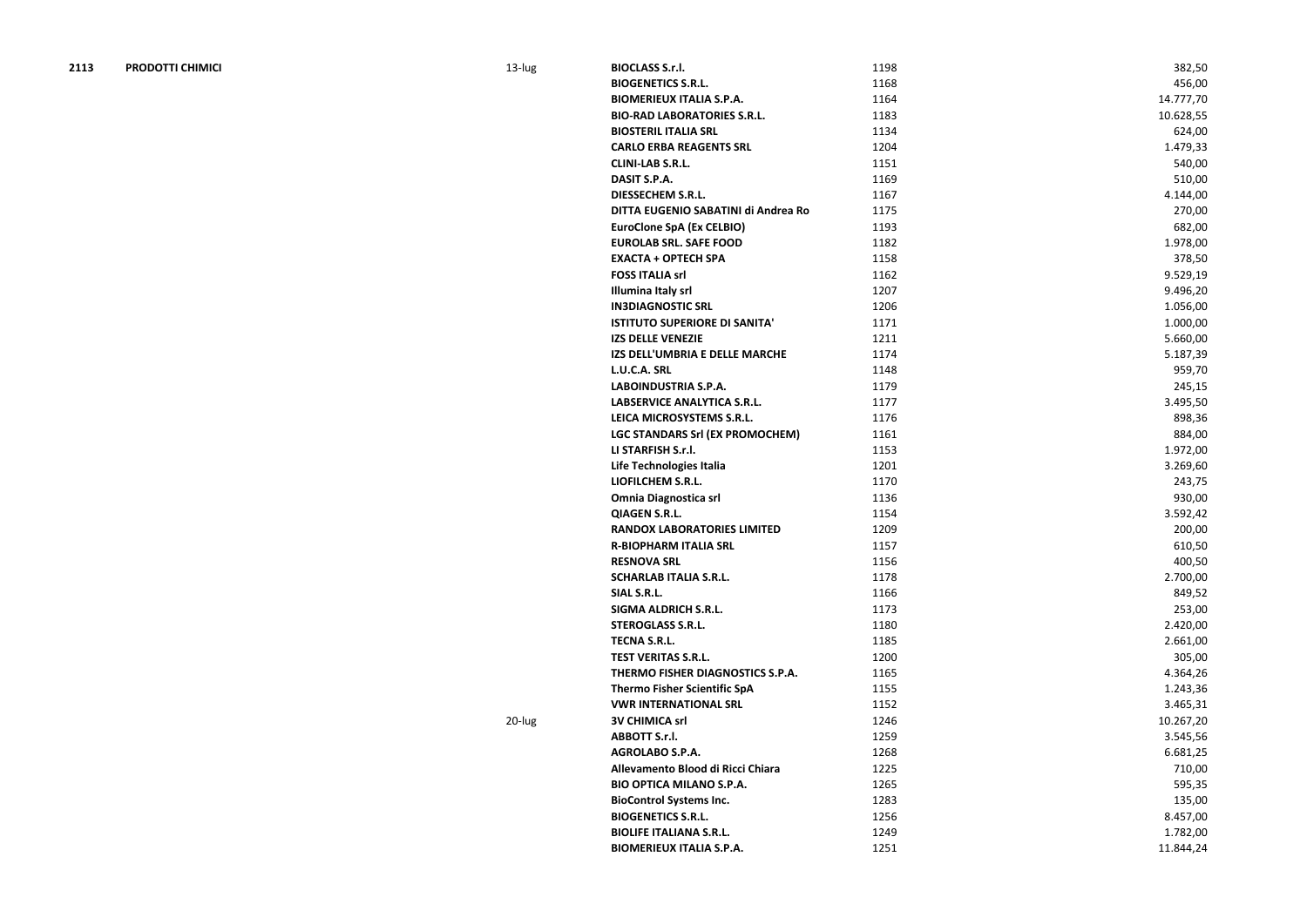| <b>PRODOTTI CHIMICI</b><br>2113 | 13-lug | <b>BIOCLASS S.r.l.</b>                 | 1198 | 382,50    |
|---------------------------------|--------|----------------------------------------|------|-----------|
|                                 |        | <b>BIOGENETICS S.R.L.</b>              | 1168 | 456,00    |
|                                 |        | <b>BIOMERIEUX ITALIA S.P.A.</b>        | 1164 | 14.777,70 |
|                                 |        | <b>BIO-RAD LABORATORIES S.R.L.</b>     | 1183 | 10.628,55 |
|                                 |        | <b>BIOSTERIL ITALIA SRL</b>            | 1134 | 624,00    |
|                                 |        | <b>CARLO ERBA REAGENTS SRL</b>         | 1204 | 1.479,33  |
|                                 |        | <b>CLINI-LAB S.R.L.</b>                | 1151 | 540,00    |
|                                 |        | DASIT S.P.A.                           | 1169 | 510,00    |
|                                 |        | <b>DIESSECHEM S.R.L.</b>               | 1167 | 4.144,00  |
|                                 |        | DITTA EUGENIO SABATINI di Andrea Ro    | 1175 | 270,00    |
|                                 |        | <b>EuroClone SpA (Ex CELBIO)</b>       | 1193 | 682,00    |
|                                 |        | <b>EUROLAB SRL. SAFE FOOD</b>          | 1182 | 1.978,00  |
|                                 |        | <b>EXACTA + OPTECH SPA</b>             | 1158 | 378,50    |
|                                 |        | <b>FOSS ITALIA srl</b>                 | 1162 | 9.529,19  |
|                                 |        | <b>Illumina Italy srl</b>              | 1207 | 9.496,20  |
|                                 |        | <b>IN3DIAGNOSTIC SRL</b>               | 1206 | 1.056,00  |
|                                 |        | <b>ISTITUTO SUPERIORE DI SANITA'</b>   | 1171 | 1.000,00  |
|                                 |        | <b>IZS DELLE VENEZIE</b>               | 1211 | 5.660,00  |
|                                 |        | IZS DELL'UMBRIA E DELLE MARCHE         | 1174 | 5.187,39  |
|                                 |        | L.U.C.A. SRL                           | 1148 | 959,70    |
|                                 |        | <b>LABOINDUSTRIA S.P.A.</b>            | 1179 | 245,15    |
|                                 |        | LABSERVICE ANALYTICA S.R.L.            | 1177 | 3.495,50  |
|                                 |        | LEICA MICROSYSTEMS S.R.L.              | 1176 | 898,36    |
|                                 |        | <b>LGC STANDARS Srl (EX PROMOCHEM)</b> | 1161 | 884,00    |
|                                 |        | LI STARFISH S.r.l.                     | 1153 | 1.972,00  |
|                                 |        | Life Technologies Italia               | 1201 | 3.269,60  |
|                                 |        | LIOFILCHEM S.R.L.                      | 1170 | 243,75    |
|                                 |        | <b>Omnia Diagnostica srl</b>           | 1136 | 930,00    |
|                                 |        | <b>QIAGEN S.R.L.</b>                   | 1154 | 3.592,42  |
|                                 |        | <b>RANDOX LABORATORIES LIMITED</b>     | 1209 | 200,00    |
|                                 |        | <b>R-BIOPHARM ITALIA SRL</b>           | 1157 | 610,50    |
|                                 |        | <b>RESNOVA SRL</b>                     | 1156 | 400,50    |
|                                 |        | <b>SCHARLAB ITALIA S.R.L.</b>          | 1178 | 2.700,00  |
|                                 |        | SIAL S.R.L.                            | 1166 | 849,52    |
|                                 |        | <b>SIGMA ALDRICH S.R.L.</b>            | 1173 | 253,00    |
|                                 |        | <b>STEROGLASS S.R.L.</b>               | 1180 | 2.420,00  |
|                                 |        | <b>TECNA S.R.L.</b>                    | 1185 | 2.661,00  |
|                                 |        | <b>TEST VERITAS S.R.L.</b>             | 1200 | 305,00    |
|                                 |        | THERMO FISHER DIAGNOSTICS S.P.A.       | 1165 | 4.364,26  |
|                                 |        | <b>Thermo Fisher Scientific SpA</b>    | 1155 |           |
|                                 |        | <b>VWR INTERNATIONAL SRL</b>           |      | 1.243,36  |
|                                 |        |                                        | 1152 | 3.465,31  |
|                                 | 20-lug | <b>3V CHIMICA srl</b>                  | 1246 | 10.267,20 |
|                                 |        | <b>ABBOTT S.r.l.</b>                   | 1259 | 3.545,56  |
|                                 |        | AGROLABO S.P.A.                        | 1268 | 6.681,25  |
|                                 |        | Allevamento Blood di Ricci Chiara      | 1225 | 710,00    |
|                                 |        | <b>BIO OPTICA MILANO S.P.A.</b>        | 1265 | 595,35    |
|                                 |        | <b>BioControl Systems Inc.</b>         | 1283 | 135,00    |
|                                 |        | <b>BIOGENETICS S.R.L.</b>              | 1256 | 8.457,00  |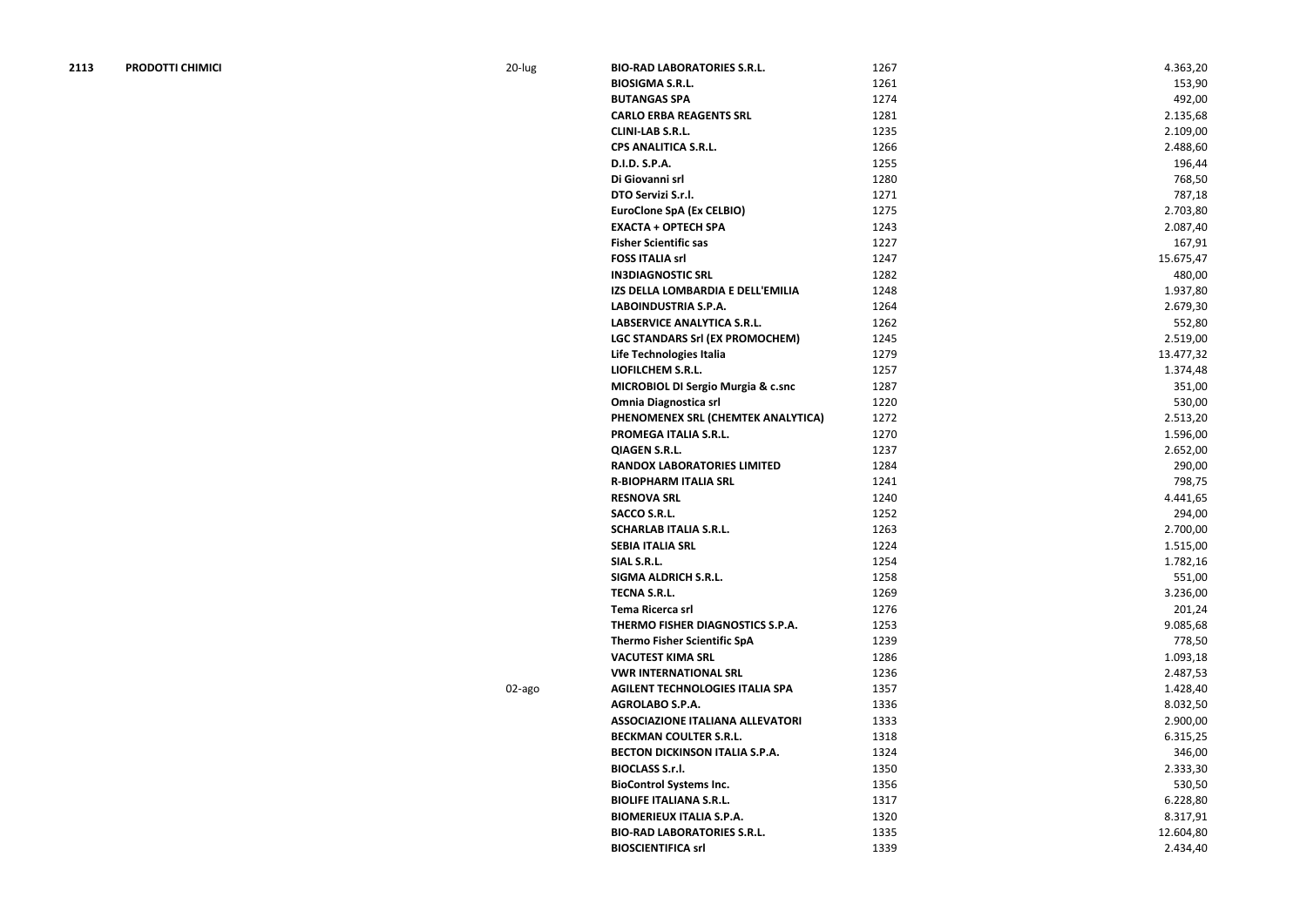| 2113 | <b>PRODOTTI CHIMICI</b> | 20-lug | <b>BIO-RAD LABORATORIES S.R.L.</b>            | 1267 | 4.363,20  |
|------|-------------------------|--------|-----------------------------------------------|------|-----------|
|      |                         |        | <b>BIOSIGMA S.R.L.</b>                        | 1261 | 153,90    |
|      |                         |        | <b>BUTANGAS SPA</b>                           | 1274 | 492,00    |
|      |                         |        | <b>CARLO ERBA REAGENTS SRL</b>                | 1281 | 2.135,68  |
|      |                         |        | <b>CLINI-LAB S.R.L.</b>                       | 1235 | 2.109,00  |
|      |                         |        | <b>CPS ANALITICA S.R.L.</b>                   | 1266 | 2.488,60  |
|      |                         |        | D.I.D. S.P.A.                                 | 1255 | 196,44    |
|      |                         |        | Di Giovanni srl                               | 1280 | 768,50    |
|      |                         |        | DTO Servizi S.r.l.                            | 1271 | 787,18    |
|      |                         |        | <b>EuroClone SpA (Ex CELBIO)</b>              | 1275 | 2.703,80  |
|      |                         |        | <b>EXACTA + OPTECH SPA</b>                    | 1243 | 2.087,40  |
|      |                         |        | <b>Fisher Scientific sas</b>                  | 1227 | 167,91    |
|      |                         |        | <b>FOSS ITALIA srl</b>                        | 1247 | 15.675,47 |
|      |                         |        | <b>IN3DIAGNOSTIC SRL</b>                      | 1282 | 480,00    |
|      |                         |        | IZS DELLA LOMBARDIA E DELL'EMILIA             | 1248 | 1.937,80  |
|      |                         |        | <b>LABOINDUSTRIA S.P.A.</b>                   | 1264 | 2.679,30  |
|      |                         |        | LABSERVICE ANALYTICA S.R.L.                   | 1262 | 552,80    |
|      |                         |        | LGC STANDARS Srl (EX PROMOCHEM)               | 1245 | 2.519,00  |
|      |                         |        | Life Technologies Italia                      | 1279 | 13.477,32 |
|      |                         |        | LIOFILCHEM S.R.L.                             | 1257 | 1.374,48  |
|      |                         |        | <b>MICROBIOL DI Sergio Murgia &amp; c.snc</b> | 1287 | 351,00    |
|      |                         |        | <b>Omnia Diagnostica srl</b>                  | 1220 | 530,00    |
|      |                         |        | PHENOMENEX SRL (CHEMTEK ANALYTICA)            | 1272 | 2.513,20  |
|      |                         |        | PROMEGA ITALIA S.R.L.                         | 1270 | 1.596,00  |
|      |                         |        | <b>QIAGEN S.R.L.</b>                          | 1237 | 2.652,00  |
|      |                         |        | <b>RANDOX LABORATORIES LIMITED</b>            | 1284 | 290,00    |
|      |                         |        |                                               |      |           |
|      |                         |        | <b>R-BIOPHARM ITALIA SRL</b>                  | 1241 | 798,75    |
|      |                         |        | <b>RESNOVA SRL</b>                            | 1240 | 4.441,65  |
|      |                         |        | <b>SACCO S.R.L.</b>                           | 1252 | 294,00    |
|      |                         |        | <b>SCHARLAB ITALIA S.R.L.</b>                 | 1263 | 2.700,00  |
|      |                         |        | <b>SEBIA ITALIA SRL</b>                       | 1224 | 1.515,00  |
|      |                         |        | SIAL S.R.L.                                   | 1254 | 1.782,16  |
|      |                         |        | <b>SIGMA ALDRICH S.R.L.</b>                   | 1258 | 551,00    |
|      |                         |        | <b>TECNA S.R.L.</b>                           | 1269 | 3.236,00  |
|      |                         |        | Tema Ricerca srl                              | 1276 | 201,24    |
|      |                         |        | THERMO FISHER DIAGNOSTICS S.P.A.              | 1253 | 9.085,68  |
|      |                         |        | <b>Thermo Fisher Scientific SpA</b>           | 1239 | 778,50    |
|      |                         |        | <b>VACUTEST KIMA SRL</b>                      | 1286 | 1.093,18  |
|      |                         |        | <b>VWR INTERNATIONAL SRL</b>                  | 1236 | 2.487,53  |
|      |                         | 02-ago | <b>AGILENT TECHNOLOGIES ITALIA SPA</b>        | 1357 | 1.428,40  |
|      |                         |        | <b>AGROLABO S.P.A.</b>                        | 1336 | 8.032,50  |
|      |                         |        | <b>ASSOCIAZIONE ITALIANA ALLEVATORI</b>       | 1333 | 2.900,00  |
|      |                         |        | <b>BECKMAN COULTER S.R.L.</b>                 | 1318 | 6.315,25  |
|      |                         |        | <b>BECTON DICKINSON ITALIA S.P.A.</b>         | 1324 | 346,00    |
|      |                         |        | <b>BIOCLASS S.r.l.</b>                        | 1350 | 2.333,30  |
|      |                         |        | <b>BioControl Systems Inc.</b>                | 1356 | 530,50    |
|      |                         |        | <b>BIOLIFE ITALIANA S.R.L.</b>                | 1317 | 6.228,80  |
|      |                         |        | <b>BIOMERIEUX ITALIA S.P.A.</b>               | 1320 | 8.317,91  |
|      |                         |        | <b>BIO-RAD LABORATORIES S.R.L.</b>            | 1335 | 12.604,80 |
|      |                         |        | <b>BIOSCIENTIFICA srl</b>                     | 1339 | 2.434,40  |
|      |                         |        |                                               |      |           |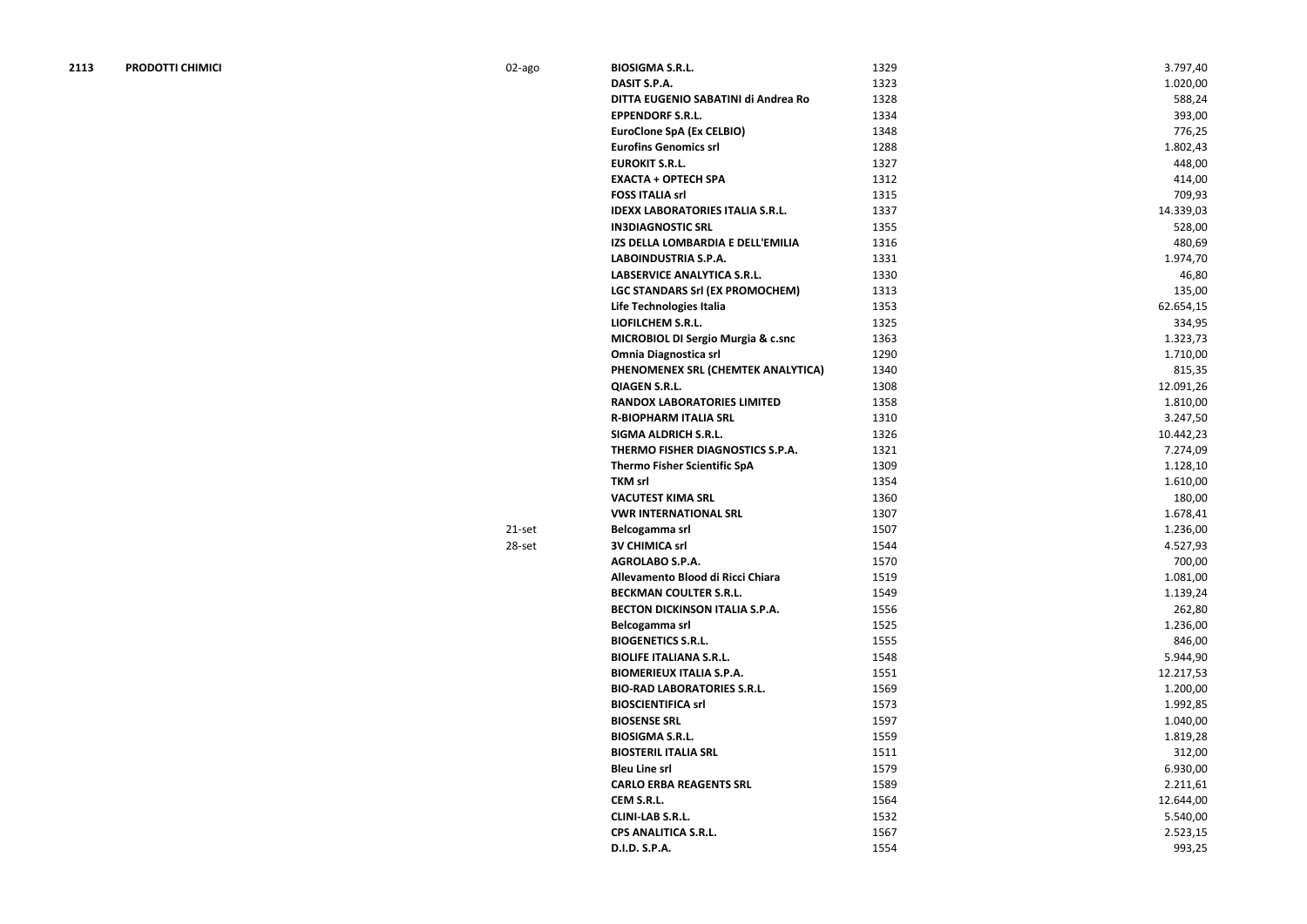| 2113 | <b>PRODOTTI CHIMICI</b> | 02-ago | <b>BIOSIGMA S.R.L.</b>                        | 1329 | 3.797,40  |
|------|-------------------------|--------|-----------------------------------------------|------|-----------|
|      |                         |        | <b>DASIT S.P.A.</b>                           | 1323 | 1.020,00  |
|      |                         |        | DITTA EUGENIO SABATINI di Andrea Ro           | 1328 | 588,24    |
|      |                         |        | <b>EPPENDORF S.R.L.</b>                       | 1334 | 393,00    |
|      |                         |        | <b>EuroClone SpA (Ex CELBIO)</b>              | 1348 | 776,25    |
|      |                         |        | <b>Eurofins Genomics srl</b>                  | 1288 | 1.802,43  |
|      |                         |        | <b>EUROKIT S.R.L.</b>                         | 1327 | 448,00    |
|      |                         |        | <b>EXACTA + OPTECH SPA</b>                    | 1312 | 414,00    |
|      |                         |        | <b>FOSS ITALIA srl</b>                        | 1315 | 709,93    |
|      |                         |        | <b>IDEXX LABORATORIES ITALIA S.R.L.</b>       | 1337 | 14.339,03 |
|      |                         |        | <b>IN3DIAGNOSTIC SRL</b>                      | 1355 | 528,00    |
|      |                         |        | IZS DELLA LOMBARDIA E DELL'EMILIA             | 1316 | 480,69    |
|      |                         |        | <b>LABOINDUSTRIA S.P.A.</b>                   | 1331 | 1.974,70  |
|      |                         |        | <b>LABSERVICE ANALYTICA S.R.L.</b>            | 1330 | 46,80     |
|      |                         |        | <b>LGC STANDARS Srl (EX PROMOCHEM)</b>        | 1313 | 135,00    |
|      |                         |        | Life Technologies Italia                      | 1353 | 62.654,15 |
|      |                         |        | LIOFILCHEM S.R.L.                             | 1325 | 334,95    |
|      |                         |        | <b>MICROBIOL DI Sergio Murgia &amp; c.snc</b> | 1363 | 1.323,73  |
|      |                         |        | <b>Omnia Diagnostica srl</b>                  | 1290 | 1.710,00  |
|      |                         |        | PHENOMENEX SRL (CHEMTEK ANALYTICA)            | 1340 | 815,35    |
|      |                         |        | <b>QIAGEN S.R.L.</b>                          | 1308 | 12.091,26 |
|      |                         |        | <b>RANDOX LABORATORIES LIMITED</b>            | 1358 | 1.810,00  |
|      |                         |        | <b>R-BIOPHARM ITALIA SRL</b>                  | 1310 | 3.247,50  |
|      |                         |        | <b>SIGMA ALDRICH S.R.L.</b>                   | 1326 | 10.442,23 |
|      |                         |        | THERMO FISHER DIAGNOSTICS S.P.A.              | 1321 | 7.274,09  |
|      |                         |        | <b>Thermo Fisher Scientific SpA</b>           | 1309 | 1.128,10  |
|      |                         |        | <b>TKM srl</b>                                | 1354 | 1.610,00  |
|      |                         |        | <b>VACUTEST KIMA SRL</b>                      | 1360 | 180,00    |
|      |                         |        | <b>VWR INTERNATIONAL SRL</b>                  | 1307 | 1.678,41  |
|      |                         | 21-set | Belcogamma srl                                | 1507 | 1.236,00  |
|      |                         | 28-set | <b>3V CHIMICA srl</b>                         | 1544 | 4.527,93  |
|      |                         |        | <b>AGROLABO S.P.A.</b>                        | 1570 | 700,00    |
|      |                         |        | Allevamento Blood di Ricci Chiara             | 1519 | 1.081,00  |
|      |                         |        | <b>BECKMAN COULTER S.R.L.</b>                 | 1549 | 1.139,24  |
|      |                         |        | <b>BECTON DICKINSON ITALIA S.P.A.</b>         | 1556 | 262,80    |
|      |                         |        | Belcogamma srl                                | 1525 | 1.236,00  |
|      |                         |        | <b>BIOGENETICS S.R.L.</b>                     | 1555 | 846,00    |
|      |                         |        | <b>BIOLIFE ITALIANA S.R.L.</b>                | 1548 | 5.944,90  |
|      |                         |        | <b>BIOMERIEUX ITALIA S.P.A.</b>               | 1551 | 12.217,53 |
|      |                         |        | <b>BIO-RAD LABORATORIES S.R.L.</b>            | 1569 | 1.200,00  |
|      |                         |        | <b>BIOSCIENTIFICA srl</b>                     | 1573 | 1.992,85  |
|      |                         |        | <b>BIOSENSE SRL</b>                           | 1597 | 1.040,00  |
|      |                         |        |                                               |      |           |

**BIOSIGMA S.R.L.** 1559 **1.819,28 BIOSTERIL ITALIA SRL** 312,00 **Bleu Line srl** 6.930,00 **CARLO ERBA REAGENTS SRL 1589** 1589 2.211,61 **CEM S.R.L.** 1564 12.644,00 **CLINI-LAB S.R.L.** 5.540,00 **CPS ANALITICA S.R.L.** 1567 2.523,15 **D.I.D. S.P.A.** 993,25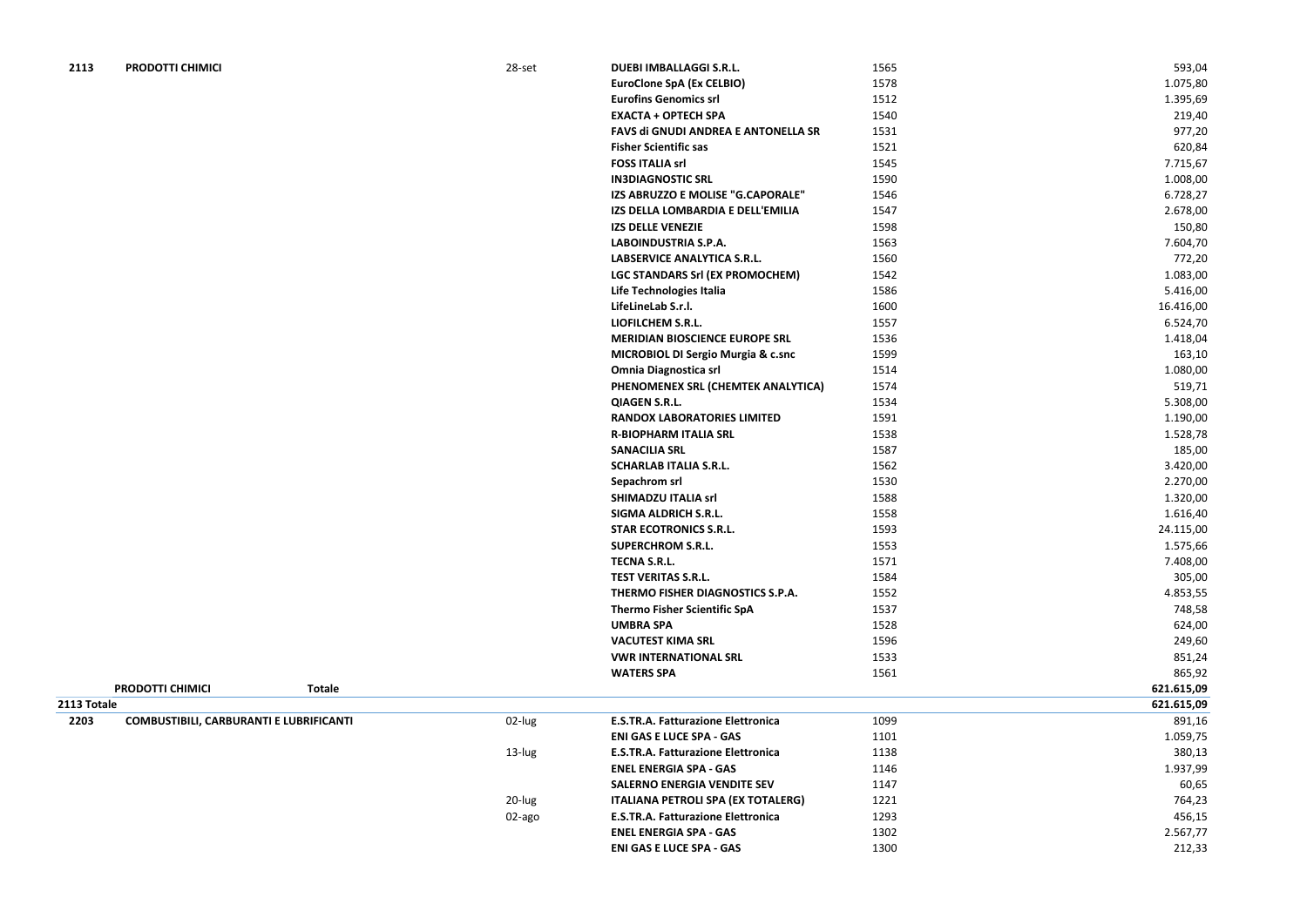| 2113 | PRODOTTI CHIMICI | 28-set | <b>DUEBI IMBALLAGGI S.R.L.</b>                | 1565 | 593,04    |
|------|------------------|--------|-----------------------------------------------|------|-----------|
|      |                  |        | <b>EuroClone SpA (Ex CELBIO)</b>              | 1578 | 1.075,80  |
|      |                  |        | <b>Eurofins Genomics srl</b>                  | 1512 | 1.395,69  |
|      |                  |        | <b>EXACTA + OPTECH SPA</b>                    | 1540 | 219,40    |
|      |                  |        | FAVS di GNUDI ANDREA E ANTONELLA SR           | 1531 | 977,20    |
|      |                  |        | <b>Fisher Scientific sas</b>                  | 1521 | 620,84    |
|      |                  |        | <b>FOSS ITALIA srl</b>                        | 1545 | 7.715,67  |
|      |                  |        | <b>IN3DIAGNOSTIC SRL</b>                      | 1590 | 1.008,00  |
|      |                  |        | IZS ABRUZZO E MOLISE "G.CAPORALE"             | 1546 | 6.728,27  |
|      |                  |        | IZS DELLA LOMBARDIA E DELL'EMILIA             | 1547 | 2.678,00  |
|      |                  |        | <b>IZS DELLE VENEZIE</b>                      | 1598 | 150,80    |
|      |                  |        | <b>LABOINDUSTRIA S.P.A.</b>                   | 1563 | 7.604,70  |
|      |                  |        | LABSERVICE ANALYTICA S.R.L.                   | 1560 | 772,20    |
|      |                  |        | LGC STANDARS Srl (EX PROMOCHEM)               | 1542 | 1.083,00  |
|      |                  |        | Life Technologies Italia                      | 1586 | 5.416,00  |
|      |                  |        | LifeLineLab S.r.l.                            | 1600 | 16.416,00 |
|      |                  |        | LIOFILCHEM S.R.L.                             | 1557 | 6.524,70  |
|      |                  |        | <b>MERIDIAN BIOSCIENCE EUROPE SRL</b>         | 1536 | 1.418,04  |
|      |                  |        | <b>MICROBIOL DI Sergio Murgia &amp; c.snc</b> | 1599 | 163,10    |
|      |                  |        | <b>Omnia Diagnostica srl</b>                  | 1514 | 1.080,00  |
|      |                  |        | PHENOMENEX SRL (CHEMTEK ANALYTICA)            | 1574 | 519,71    |
|      |                  |        | <b>QIAGEN S.R.L.</b>                          | 1534 | 5.308,00  |
|      |                  |        | <b>RANDOX LABORATORIES LIMITED</b>            | 1591 | 1.190,00  |
|      |                  |        | <b>R-BIOPHARM ITALIA SRL</b>                  | 1538 | 1.528,78  |
|      |                  |        | <b>SANACILIA SRL</b>                          | 1587 | 185,00    |
|      |                  |        | <b>SCHARLAB ITALIA S.R.L.</b>                 | 1562 | 3.420,00  |
|      |                  |        | Sepachrom srl                                 | 1530 | 2.270,00  |
|      |                  |        | <b>SHIMADZU ITALIA srl</b>                    | 1588 | 1.320,00  |
|      |                  |        | <b>SIGMA ALDRICH S.R.L.</b>                   | 1558 | 1.616,40  |
|      |                  |        | <b>STAR ECOTRONICS S.R.L.</b>                 | 1593 | 24.115,00 |
|      |                  |        | <b>SUPERCHROM S.R.L.</b>                      | 1553 | 1.575,66  |
|      |                  |        | <b>TECNA S.R.L.</b>                           | 1571 | 7.408,00  |
|      |                  |        | <b>TEST VERITAS S.R.L.</b>                    | 1584 | 305,00    |
|      |                  |        | THERMO FISHER DIAGNOSTICS S.P.A.              | 1552 | 4.853,55  |
|      |                  |        | <b>Thermo Fisher Scientific SpA</b>           | 1537 | 748,58    |
|      |                  |        | <b>UMBRA SPA</b>                              | 1528 | 624,00    |
|      |                  |        | <b>VACUTEST KIMA SRL</b>                      | 1596 | 249,60    |
|      |                  |        | <b>VWR INTERNATIONAL SRL</b>                  | 1533 | 851,24    |
|      |                  |        |                                               |      |           |

|             |                                                |           | <b>WATERS SPA</b>                         | 1561 | 865,92     |
|-------------|------------------------------------------------|-----------|-------------------------------------------|------|------------|
|             | <b>PRODOTTI CHIMICI</b><br>Totale              |           |                                           |      | 621.615,09 |
| 2113 Totale |                                                |           |                                           |      | 621.615,09 |
| 2203        | <b>COMBUSTIBILI, CARBURANTI E LUBRIFICANTI</b> | 02-lug    | <b>E.S.TR.A. Fatturazione Elettronica</b> | 1099 | 891,16     |
|             |                                                |           | <b>ENI GAS E LUCE SPA - GAS</b>           | 1101 | 1.059,75   |
|             |                                                | $13$ -lug | <b>E.S.TR.A. Fatturazione Elettronica</b> | 1138 | 380,13     |
|             |                                                |           | <b>ENEL ENERGIA SPA - GAS</b>             | 1146 | 1.937,99   |
|             |                                                |           | <b>SALERNO ENERGIA VENDITE SEV</b>        | 1147 | 60,65      |
|             |                                                | 20-lug    | <b>ITALIANA PETROLI SPA (EX TOTALERG)</b> | 1221 | 764,23     |
|             |                                                | 02-ago    | <b>E.S.TR.A. Fatturazione Elettronica</b> | 1293 | 456,15     |
|             |                                                |           | <b>ENEL ENERGIA SPA - GAS</b>             | 1302 | 2.567,77   |
|             |                                                |           | <b>ENI GAS E LUCE SPA - GAS</b>           | 1300 | 212,33     |
|             |                                                |           |                                           |      |            |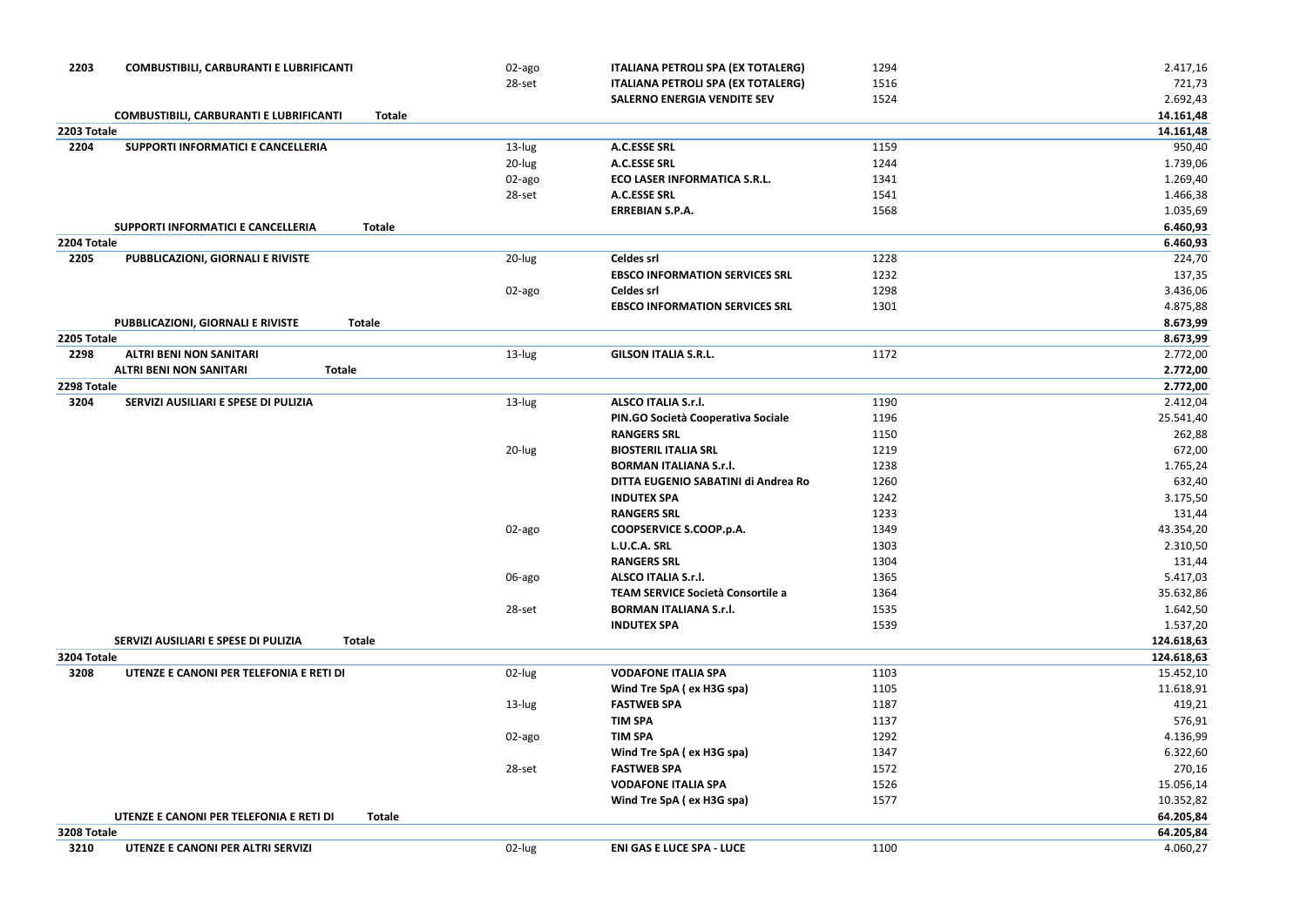| 2203        | <b>COMBUSTIBILI, CARBURANTI E LUBRIFICANTI</b>                  | 02-ago | <b>ITALIANA PETROLI SPA (EX TOTALERG)</b> | 1294 | 2.417,16   |
|-------------|-----------------------------------------------------------------|--------|-------------------------------------------|------|------------|
|             |                                                                 | 28-set | ITALIANA PETROLI SPA (EX TOTALERG)        | 1516 | 721,73     |
|             |                                                                 |        | <b>SALERNO ENERGIA VENDITE SEV</b>        | 1524 | 2.692,43   |
|             | <b>COMBUSTIBILI, CARBURANTI E LUBRIFICANTI</b><br><b>Totale</b> |        |                                           |      | 14.161,48  |
| 2203 Totale |                                                                 |        |                                           |      | 14.161,48  |
| 2204        | SUPPORTI INFORMATICI E CANCELLERIA                              | 13-lug | <b>A.C.ESSE SRL</b>                       | 1159 | 950,40     |
|             |                                                                 | 20-lug | <b>A.C.ESSE SRL</b>                       | 1244 | 1.739,06   |
|             |                                                                 | 02-ago | <b>ECO LASER INFORMATICA S.R.L.</b>       | 1341 | 1.269,40   |
|             |                                                                 | 28-set | A.C.ESSE SRL                              | 1541 | 1.466,38   |
|             |                                                                 |        | <b>ERREBIAN S.P.A.</b>                    | 1568 | 1.035,69   |
|             | SUPPORTI INFORMATICI E CANCELLERIA<br><b>Totale</b>             |        |                                           |      | 6.460,93   |
| 2204 Totale |                                                                 |        |                                           |      | 6.460,93   |
| 2205        | PUBBLICAZIONI, GIORNALI E RIVISTE                               | 20-lug | <b>Celdes srl</b>                         | 1228 | 224,70     |
|             |                                                                 |        | <b>EBSCO INFORMATION SERVICES SRL</b>     | 1232 | 137,35     |
|             |                                                                 | 02-ago | <b>Celdes srl</b>                         | 1298 | 3.436,06   |
|             |                                                                 |        | <b>EBSCO INFORMATION SERVICES SRL</b>     | 1301 | 4.875,88   |
|             | PUBBLICAZIONI, GIORNALI E RIVISTE<br><b>Totale</b>              |        |                                           |      | 8.673,99   |
| 2205 Totale |                                                                 |        |                                           |      | 8.673,99   |
| 2298        | <b>ALTRI BENI NON SANITARI</b>                                  | 13-lug | <b>GILSON ITALIA S.R.L.</b>               | 1172 | 2.772,00   |
|             | <b>ALTRI BENI NON SANITARI</b><br><b>Totale</b>                 |        |                                           |      | 2.772,00   |
| 2298 Totale |                                                                 |        |                                           |      | 2.772,00   |
| 3204        | SERVIZI AUSILIARI E SPESE DI PULIZIA                            | 13-lug | <b>ALSCO ITALIA S.r.l.</b>                | 1190 | 2.412,04   |
|             |                                                                 |        | PIN.GO Società Cooperativa Sociale        | 1196 | 25.541,40  |
|             |                                                                 |        | <b>RANGERS SRL</b>                        | 1150 | 262,88     |
|             |                                                                 | 20-lug | <b>BIOSTERIL ITALIA SRL</b>               | 1219 | 672,00     |
|             |                                                                 |        | <b>BORMAN ITALIANA S.r.l.</b>             | 1238 | 1.765,24   |
|             |                                                                 |        | DITTA EUGENIO SABATINI di Andrea Ro       | 1260 | 632,40     |
|             |                                                                 |        | <b>INDUTEX SPA</b>                        | 1242 | 3.175,50   |
|             |                                                                 |        | <b>RANGERS SRL</b>                        | 1233 | 131,44     |
|             |                                                                 | 02-ago | COOPSERVICE S.COOP.p.A.                   | 1349 | 43.354,20  |
|             |                                                                 |        | L.U.C.A. SRL                              | 1303 | 2.310,50   |
|             |                                                                 |        | <b>RANGERS SRL</b>                        | 1304 | 131,44     |
|             |                                                                 | 06-ago | <b>ALSCO ITALIA S.r.l.</b>                | 1365 | 5.417,03   |
|             |                                                                 |        | TEAM SERVICE Società Consortile a         | 1364 | 35.632,86  |
|             |                                                                 | 28-set | <b>BORMAN ITALIANA S.r.l.</b>             | 1535 | 1.642,50   |
|             |                                                                 |        | <b>INDUTEX SPA</b>                        | 1539 | 1.537,20   |
|             | SERVIZI AUSILIARI E SPESE DI PULIZIA<br><b>Totale</b>           |        |                                           |      | 124.618,63 |
| 3204 Totale |                                                                 |        |                                           |      | 124.618,63 |
| 3208        | UTENZE E CANONI PER TELEFONIA E RETI DI                         | 02-lug | <b>VODAFONE ITALIA SPA</b>                | 1103 | 15.452,10  |
|             |                                                                 |        | Wind Tre SpA (ex H3G spa)                 | 1105 | 11.618,91  |
|             |                                                                 | 13-lug | <b>FASTWEB SPA</b>                        | 1187 | 419,21     |
|             |                                                                 |        | <b>TIM SPA</b>                            | 1137 | 576,91     |
|             |                                                                 | 02-ago | <b>TIM SPA</b>                            | 1292 | 4.136,99   |
|             |                                                                 |        | Wind Tre SpA (ex H3G spa)                 | 1347 | 6.322,60   |
|             |                                                                 | 28-set | <b>FASTWEB SPA</b>                        | 1572 | 270,16     |
|             |                                                                 |        | <b>VODAFONE ITALIA SPA</b>                | 1526 | 15.056,14  |
|             |                                                                 |        | Wind Tre SpA (ex H3G spa)                 | 1577 | 10.352,82  |
|             | UTENZE E CANONI PER TELEFONIA E RETI DI<br><b>Totale</b>        |        |                                           |      | 64.205,84  |
| 3208 Totale |                                                                 |        |                                           |      | 64.205,84  |
| 3210        | UTENZE E CANONI PER ALTRI SERVIZI                               | 02-lug | <b>ENI GAS E LUCE SPA - LUCE</b>          | 1100 | 4.060,27   |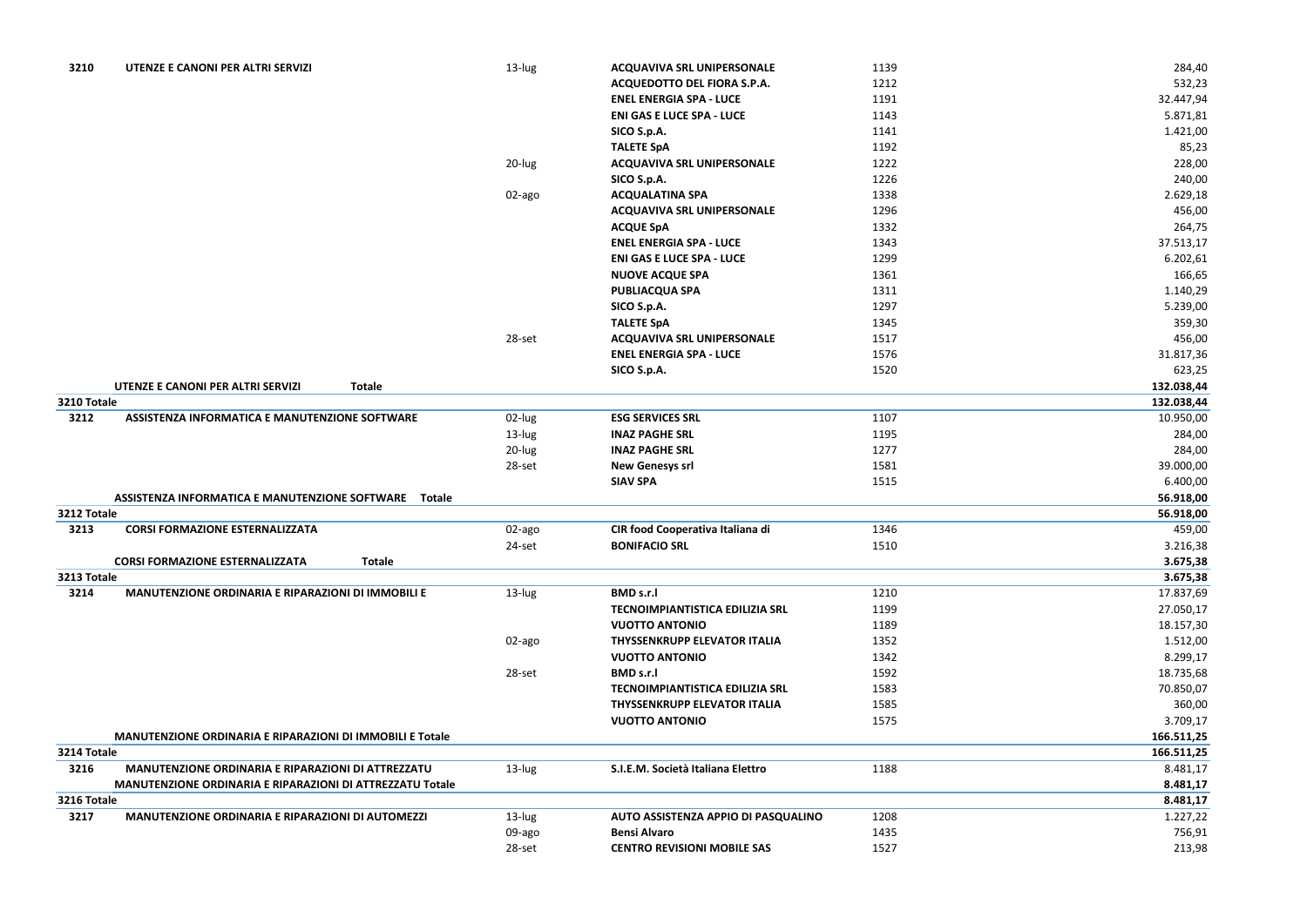| 3210        | UTENZE E CANONI PER ALTRI SERVIZI                                | 13-lug | <b>ACQUAVIVA SRL UNIPERSONALE</b>      | 1139 | 284,40     |
|-------------|------------------------------------------------------------------|--------|----------------------------------------|------|------------|
|             |                                                                  |        | ACQUEDOTTO DEL FIORA S.P.A.            | 1212 | 532,23     |
|             |                                                                  |        | <b>ENEL ENERGIA SPA - LUCE</b>         | 1191 | 32.447,94  |
|             |                                                                  |        | <b>ENI GAS E LUCE SPA - LUCE</b>       | 1143 | 5.871,81   |
|             |                                                                  |        | SICO S.p.A.                            | 1141 | 1.421,00   |
|             |                                                                  |        | <b>TALETE SpA</b>                      | 1192 | 85,23      |
|             |                                                                  | 20-lug | <b>ACQUAVIVA SRL UNIPERSONALE</b>      | 1222 | 228,00     |
|             |                                                                  |        | SICO S.p.A.                            | 1226 | 240,00     |
|             |                                                                  | 02-ago | <b>ACQUALATINA SPA</b>                 | 1338 | 2.629,18   |
|             |                                                                  |        | <b>ACQUAVIVA SRL UNIPERSONALE</b>      | 1296 | 456,00     |
|             |                                                                  |        | <b>ACQUE SpA</b>                       | 1332 | 264,75     |
|             |                                                                  |        | <b>ENEL ENERGIA SPA - LUCE</b>         | 1343 | 37.513,17  |
|             |                                                                  |        | <b>ENI GAS E LUCE SPA - LUCE</b>       | 1299 | 6.202,61   |
|             |                                                                  |        | <b>NUOVE ACQUE SPA</b>                 | 1361 | 166,65     |
|             |                                                                  |        | <b>PUBLIACQUA SPA</b>                  | 1311 | 1.140,29   |
|             |                                                                  |        | SICO S.p.A.                            | 1297 | 5.239,00   |
|             |                                                                  |        | <b>TALETE SpA</b>                      | 1345 | 359,30     |
|             |                                                                  | 28-set | <b>ACQUAVIVA SRL UNIPERSONALE</b>      | 1517 | 456,00     |
|             |                                                                  |        | <b>ENEL ENERGIA SPA - LUCE</b>         | 1576 | 31.817,36  |
|             |                                                                  |        | SICO S.p.A.                            | 1520 | 623,25     |
|             | UTENZE E CANONI PER ALTRI SERVIZI<br><b>Totale</b>               |        |                                        |      | 132.038,44 |
| 3210 Totale |                                                                  |        |                                        |      | 132.038,44 |
| 3212        | ASSISTENZA INFORMATICA E MANUTENZIONE SOFTWARE                   | 02-lug | <b>ESG SERVICES SRL</b>                | 1107 | 10.950,00  |
|             |                                                                  | 13-lug | <b>INAZ PAGHE SRL</b>                  | 1195 | 284,00     |
|             |                                                                  | 20-lug | <b>INAZ PAGHE SRL</b>                  | 1277 | 284,00     |
|             |                                                                  | 28-set | <b>New Genesys srl</b>                 | 1581 | 39.000,00  |
|             |                                                                  |        | <b>SIAV SPA</b>                        | 1515 | 6.400,00   |
|             | ASSISTENZA INFORMATICA E MANUTENZIONE SOFTWARE  Totale           |        |                                        |      | 56.918,00  |
| 3212 Totale |                                                                  |        |                                        |      | 56.918,00  |
| 3213        | <b>CORSI FORMAZIONE ESTERNALIZZATA</b>                           | 02-ago | CIR food Cooperativa Italiana di       | 1346 | 459,00     |
|             |                                                                  | 24-set | <b>BONIFACIO SRL</b>                   | 1510 | 3.216,38   |
|             | <b>CORSI FORMAZIONE ESTERNALIZZATA</b><br><b>Totale</b>          |        |                                        |      | 3.675,38   |
| 3213 Totale |                                                                  |        |                                        |      | 3.675,38   |
| 3214        | MANUTENZIONE ORDINARIA E RIPARAZIONI DI IMMOBILI E               | 13-lug | <b>BMD s.r.l</b>                       | 1210 | 17.837,69  |
|             |                                                                  |        | TECNOIMPIANTISTICA EDILIZIA SRL        | 1199 | 27.050,17  |
|             |                                                                  |        | <b>VUOTTO ANTONIO</b>                  | 1189 | 18.157,30  |
|             |                                                                  | 02-ago | <b>THYSSENKRUPP ELEVATOR ITALIA</b>    | 1352 | 1.512,00   |
|             |                                                                  |        | <b>VUOTTO ANTONIO</b>                  | 1342 | 8.299,17   |
|             |                                                                  | 28-set | <b>BMD s.r.l</b>                       | 1592 | 18.735,68  |
|             |                                                                  |        | <b>TECNOIMPIANTISTICA EDILIZIA SRL</b> | 1583 | 70.850,07  |
|             |                                                                  |        | <b>THYSSENKRUPP ELEVATOR ITALIA</b>    | 1585 | 360,00     |
|             |                                                                  |        | <b>VUOTTO ANTONIO</b>                  | 1575 | 3.709,17   |
|             | <b>MANUTENZIONE ORDINARIA E RIPARAZIONI DI IMMOBILI E Totale</b> |        |                                        |      | 166.511,25 |
| 3214 Totale |                                                                  |        |                                        |      | 166.511,25 |
| 3216        | MANUTENZIONE ORDINARIA E RIPARAZIONI DI ATTREZZATU               | 13-lug | S.I.E.M. Società Italiana Elettro      | 1188 | 8.481,17   |
|             | MANUTENZIONE ORDINARIA E RIPARAZIONI DI ATTREZZATU Totale        |        |                                        |      | 8.481,17   |
| 3216 Totale |                                                                  |        |                                        |      | 8.481,17   |
| 3217        | MANUTENZIONE ORDINARIA E RIPARAZIONI DI AUTOMEZZI                | 13-lug | AUTO ASSISTENZA APPIO DI PASQUALINO    | 1208 | 1.227,22   |
|             |                                                                  | 09-ago | <b>Bensi Alvaro</b>                    | 1435 | 756,91     |
|             |                                                                  | 28-set | <b>CENTRO REVISIONI MOBILE SAS</b>     | 1527 | 213,98     |
|             |                                                                  |        |                                        |      |            |

| 284,40           |
|------------------|
| 532,23           |
| 32.447,94        |
| 5.871,81         |
| 1.421,00         |
| 85,23            |
| 228,00           |
| 240,00           |
| 2.629,18         |
| 456,00           |
| 264,75           |
| 37.513,17        |
| 6.202,61         |
| 166,65           |
| 1.140,29         |
| 5.239,00         |
| 359,30           |
| 456,00           |
| 31.817,36        |
| 623,25           |
| 132.038,44       |
| 132.038,44       |
| 10.950,00        |
| 284,00<br>284,00 |
| 39.000,00        |
| 6.400,00         |
| 56.918,00        |
| 56.918,00        |
| 459,00           |
| 3.216,38         |
| 3.675,38         |
| 3.675,38         |
| 17.837,69        |
| 27.050,17        |
| 18.157,30        |
| 1.512,00         |
| 8.299,17         |
| 18.735,68        |
| 70.850,07        |
| 360,00           |
| 3.709,17         |
| 166.511,25       |
| 166.511,25       |
| 8.481,17         |
| 8.481,17         |
| 8.481,17         |
| 1.227,22         |
| 756,91           |
| 213,98           |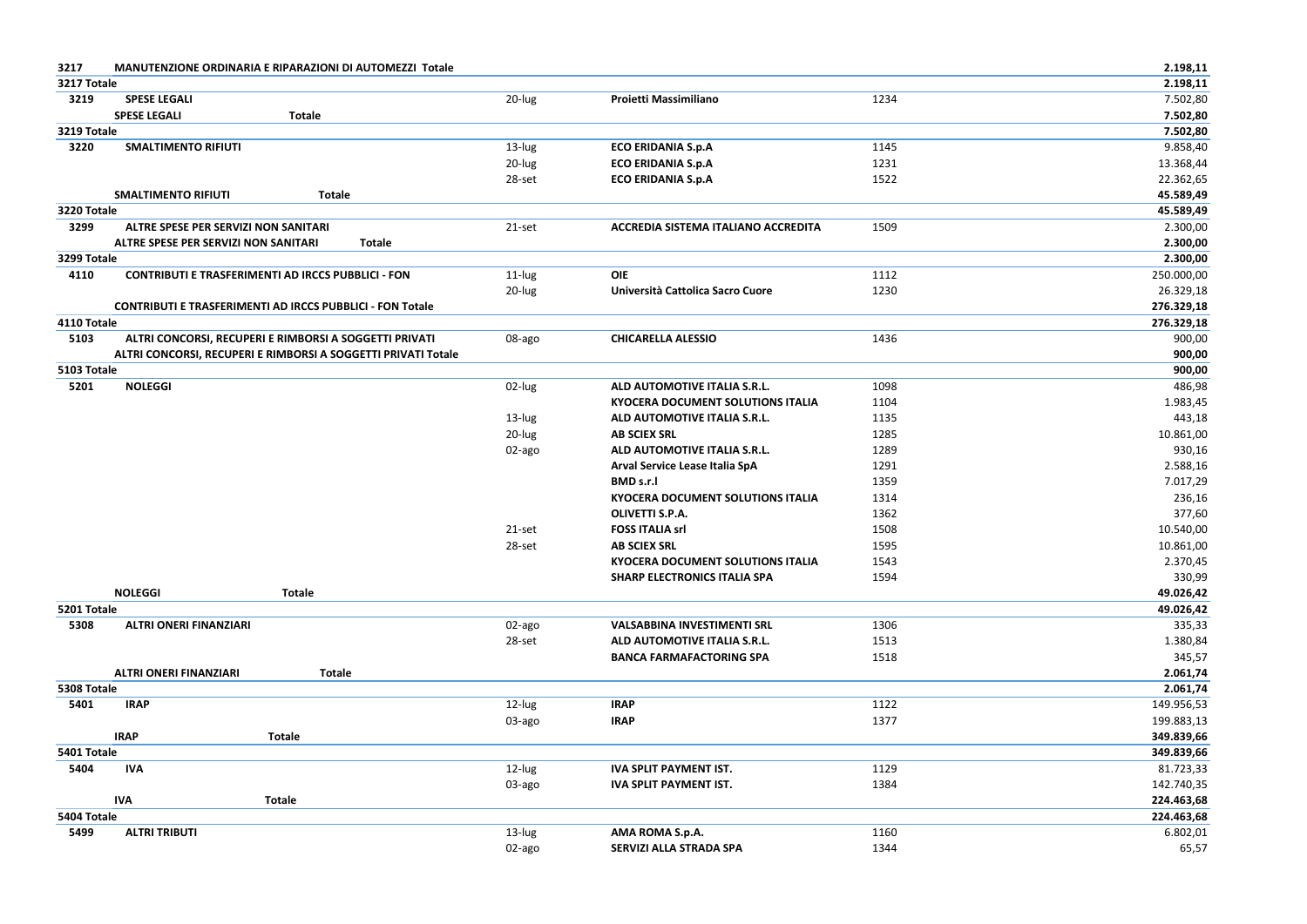| 3217 | <b>MANUTENZIONE ORDINARIA E RIPARAZIONI DI AUTOMEZZI Totale</b> |  |
|------|-----------------------------------------------------------------|--|
|------|-----------------------------------------------------------------|--|

| 3217        | MANUTENZIONE ORDINARIA E RIPARAZIONI DI AUTOMEZZI Totale         |        |                                          |      | 2.198,11   |
|-------------|------------------------------------------------------------------|--------|------------------------------------------|------|------------|
| 3217 Totale |                                                                  |        |                                          |      | 2.198,11   |
| 3219        | <b>SPESE LEGALI</b>                                              | 20-lug | Proietti Massimiliano                    | 1234 | 7.502,80   |
|             | <b>SPESE LEGALI</b><br><b>Totale</b>                             |        |                                          |      | 7.502,80   |
| 3219 Totale |                                                                  |        |                                          |      | 7.502,80   |
| 3220        | <b>SMALTIMENTO RIFIUTI</b>                                       | 13-lug | <b>ECO ERIDANIA S.p.A</b>                | 1145 | 9.858,40   |
|             |                                                                  | 20-lug | <b>ECO ERIDANIA S.p.A</b>                | 1231 | 13.368,44  |
|             |                                                                  | 28-set | <b>ECO ERIDANIA S.p.A</b>                | 1522 | 22.362,65  |
|             | <b>SMALTIMENTO RIFIUTI</b><br><b>Totale</b>                      |        |                                          |      | 45.589,49  |
| 3220 Totale |                                                                  |        |                                          |      | 45.589,49  |
| 3299        | <b>ALTRE SPESE PER SERVIZI NON SANITARI</b>                      | 21-set | ACCREDIA SISTEMA ITALIANO ACCREDITA      | 1509 | 2.300,00   |
|             | <b>ALTRE SPESE PER SERVIZI NON SANITARI</b><br><b>Totale</b>     |        |                                          |      | 2.300,00   |
| 3299 Totale |                                                                  |        |                                          |      | 2.300,00   |
| 4110        | <b>CONTRIBUTI E TRASFERIMENTI AD IRCCS PUBBLICI - FON</b>        | 11-lug | <b>OIE</b>                               | 1112 | 250.000,00 |
|             |                                                                  | 20-lug | Università Cattolica Sacro Cuore         | 1230 | 26.329,18  |
|             | <b>CONTRIBUTI E TRASFERIMENTI AD IRCCS PUBBLICI - FON Totale</b> |        |                                          |      | 276.329,18 |
| 4110 Totale |                                                                  |        |                                          |      | 276.329,18 |
| 5103        | ALTRI CONCORSI, RECUPERI E RIMBORSI A SOGGETTI PRIVATI           | 08-ago | <b>CHICARELLA ALESSIO</b>                | 1436 | 900,00     |
|             | ALTRI CONCORSI, RECUPERI E RIMBORSI A SOGGETTI PRIVATI Totale    |        |                                          |      | 900,00     |
| 5103 Totale |                                                                  |        |                                          |      | 900,00     |
| 5201        | <b>NOLEGGI</b>                                                   | 02-lug | ALD AUTOMOTIVE ITALIA S.R.L.             | 1098 | 486,98     |
|             |                                                                  |        | <b>KYOCERA DOCUMENT SOLUTIONS ITALIA</b> | 1104 | 1.983,45   |
|             |                                                                  | 13-lug | ALD AUTOMOTIVE ITALIA S.R.L.             | 1135 | 443,18     |
|             |                                                                  | 20-lug | <b>AB SCIEX SRL</b>                      | 1285 | 10.861,00  |
|             |                                                                  | 02-ago | ALD AUTOMOTIVE ITALIA S.R.L.             | 1289 | 930,16     |
|             |                                                                  |        | Arval Service Lease Italia SpA           | 1291 | 2.588,16   |
|             |                                                                  |        | <b>BMD s.r.l</b>                         | 1359 | 7.017,29   |
|             |                                                                  |        | <b>KYOCERA DOCUMENT SOLUTIONS ITALIA</b> | 1314 | 236,16     |
|             |                                                                  |        | <b>OLIVETTI S.P.A.</b>                   | 1362 | 377,60     |
|             |                                                                  | 21-set | <b>FOSS ITALIA srl</b>                   | 1508 | 10.540,00  |
|             |                                                                  | 28-set | <b>AB SCIEX SRL</b>                      | 1595 | 10.861,00  |
|             |                                                                  |        | <b>KYOCERA DOCUMENT SOLUTIONS ITALIA</b> | 1543 | 2.370,45   |
|             |                                                                  |        | <b>SHARP ELECTRONICS ITALIA SPA</b>      | 1594 | 330,99     |
|             | <b>NOLEGGI</b><br><b>Totale</b>                                  |        |                                          |      | 49.026,42  |
| 5201 Totale |                                                                  |        |                                          |      | 49.026,42  |
| 5308        | <b>ALTRI ONERI FINANZIARI</b>                                    | 02-ago | <b>VALSABBINA INVESTIMENTI SRL</b>       | 1306 | 335,33     |
|             |                                                                  | 28-set | ALD AUTOMOTIVE ITALIA S.R.L.             | 1513 | 1.380,84   |
|             |                                                                  |        | <b>BANCA FARMAFACTORING SPA</b>          | 1518 | 345,57     |
|             | <b>ALTRI ONERI FINANZIARI</b><br><b>Totale</b>                   |        |                                          |      | 2.061,74   |
| 5308 Totale |                                                                  |        |                                          |      | 2.061,74   |
| 5401        | <b>IRAP</b>                                                      | 12-lug | <b>IRAP</b>                              | 1122 | 149.956,53 |
|             |                                                                  | 03-ago | <b>IRAP</b>                              | 1377 | 199.883,13 |
|             | <b>Totale</b><br><b>IRAP</b>                                     |        |                                          |      | 349.839,66 |
| 5401 Totale |                                                                  |        |                                          |      | 349.839,66 |
| 5404        | <b>IVA</b>                                                       | 12-lug | <b>IVA SPLIT PAYMENT IST.</b>            | 1129 | 81.723,33  |
|             |                                                                  | 03-ago | <b>IVA SPLIT PAYMENT IST.</b>            | 1384 | 142.740,35 |
|             | <b>IVA</b><br><b>Totale</b>                                      |        |                                          |      | 224.463,68 |
| 5404 Totale |                                                                  |        |                                          |      | 224.463,68 |
| 5499        | <b>ALTRI TRIBUTI</b>                                             | 13-lug | AMA ROMA S.p.A.                          | 1160 | 6.802,01   |
|             |                                                                  | 02-ago | SERVIZI ALLA STRADA SPA                  | 1344 | 65,57      |